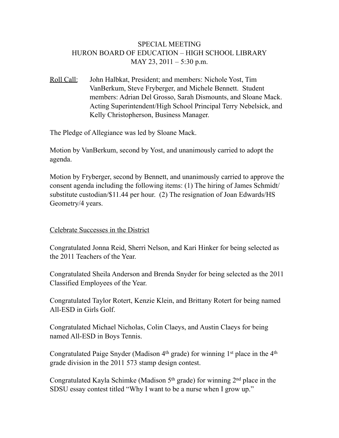### SPECIAL MEETING HURON BOARD OF EDUCATION – HIGH SCHOOL LIBRARY MAY 23, 2011 – 5:30 p.m.

Roll Call: John Halbkat, President; and members: Nichole Yost, Tim VanBerkum, Steve Fryberger, and Michele Bennett. Student members: Adrian Del Grosso, Sarah Dismounts, and Sloane Mack. Acting Superintendent/High School Principal Terry Nebelsick, and Kelly Christopherson, Business Manager.

The Pledge of Allegiance was led by Sloane Mack.

Motion by VanBerkum, second by Yost, and unanimously carried to adopt the agenda.

Motion by Fryberger, second by Bennett, and unanimously carried to approve the consent agenda including the following items: (1) The hiring of James Schmidt/ substitute custodian/\$11.44 per hour. (2) The resignation of Joan Edwards/HS Geometry/4 years.

#### Celebrate Successes in the District

Congratulated Jonna Reid, Sherri Nelson, and Kari Hinker for being selected as the 2011 Teachers of the Year.

Congratulated Sheila Anderson and Brenda Snyder for being selected as the 2011 Classified Employees of the Year.

Congratulated Taylor Rotert, Kenzie Klein, and Brittany Rotert for being named All-ESD in Girls Golf.

Congratulated Michael Nicholas, Colin Claeys, and Austin Claeys for being named All-ESD in Boys Tennis.

Congratulated Paige Snyder (Madison  $4<sup>th</sup>$  grade) for winning  $1<sup>st</sup>$  place in the  $4<sup>th</sup>$ grade division in the 2011 573 stamp design contest.

Congratulated Kayla Schimke (Madison  $5<sup>th</sup>$  grade) for winning  $2<sup>nd</sup>$  place in the SDSU essay contest titled "Why I want to be a nurse when I grow up."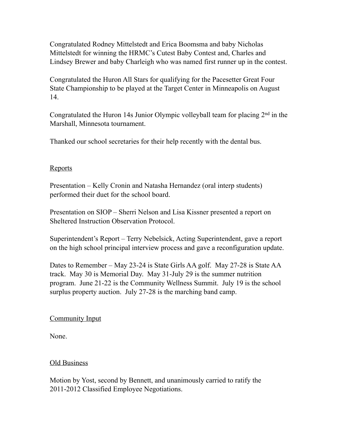Congratulated Rodney Mittelstedt and Erica Boomsma and baby Nicholas Mittelstedt for winning the HRMC's Cutest Baby Contest and, Charles and Lindsey Brewer and baby Charleigh who was named first runner up in the contest.

Congratulated the Huron All Stars for qualifying for the Pacesetter Great Four State Championship to be played at the Target Center in Minneapolis on August 14.

Congratulated the Huron 14s Junior Olympic volleyball team for placing 2nd in the Marshall, Minnesota tournament.

Thanked our school secretaries for their help recently with the dental bus.

### Reports

Presentation – Kelly Cronin and Natasha Hernandez (oral interp students) performed their duet for the school board.

Presentation on SIOP – Sherri Nelson and Lisa Kissner presented a report on Sheltered Instruction Observation Protocol.

Superintendent's Report – Terry Nebelsick, Acting Superintendent, gave a report on the high school principal interview process and gave a reconfiguration update.

Dates to Remember – May 23-24 is State Girls AA golf. May 27-28 is State AA track. May 30 is Memorial Day. May 31-July 29 is the summer nutrition program. June 21-22 is the Community Wellness Summit. July 19 is the school surplus property auction. July 27-28 is the marching band camp.

# Community Input

None.

# Old Business

Motion by Yost, second by Bennett, and unanimously carried to ratify the 2011-2012 Classified Employee Negotiations.